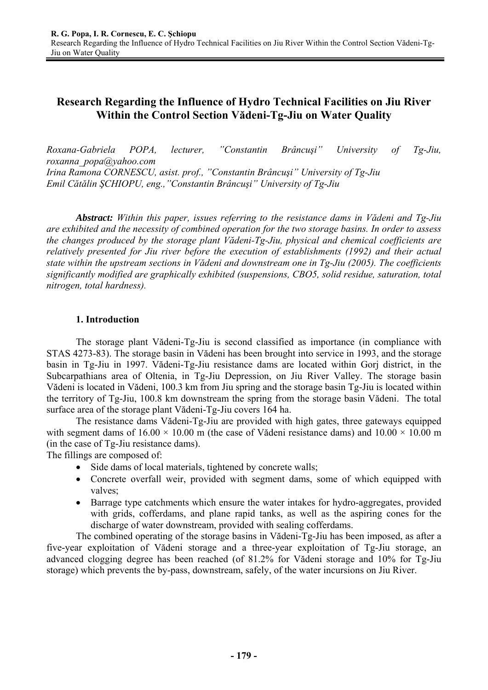# **Research Regarding the Influence of Hydro Technical Facilities on Jiu River Within the Control Section Vădeni-Tg-Jiu on Water Quality**

*Roxana-Gabriela POPA, lecturer, "Constantin Brâncuşi" University of Tg-Jiu, roxanna\_popa@yahoo.com Irina Ramona CORNESCU, asist. prof., "Constantin Brâncuşi" University of Tg-Jiu Emil Cătălin ŞCHIOPU, eng.,"Constantin Brâncuşi" University of Tg-Jiu* 

*Abstract: Within this paper, issues referring to the resistance dams in Vădeni and Tg-Jiu are exhibited and the necessity of combined operation for the two storage basins. In order to assess the changes produced by the storage plant Vădeni-Tg-Jiu, physical and chemical coefficients are relatively presented for Jiu river before the execution of establishments (1992) and their actual state within the upstream sections in Vădeni and downstream one in Tg-Jiu (2005). The coefficients significantly modified are graphically exhibited (suspensions, CBO5, solid residue, saturation, total nitrogen, total hardness).* 

### **1. Introduction**

The storage plant Vădeni-Tg-Jiu is second classified as importance (in compliance with STAS 4273-83). The storage basin in Vădeni has been brought into service in 1993, and the storage basin in Tg-Jiu in 1997. Vădeni-Tg-Jiu resistance dams are located within Gorj district, in the Subcarpathians area of Oltenia, in Tg-Jiu Depression, on Jiu River Valley. The storage basin Vădeni is located in Vădeni, 100.3 km from Jiu spring and the storage basin Tg-Jiu is located within the territory of Tg-Jiu, 100.8 km downstream the spring from the storage basin Vădeni. The total surface area of the storage plant Vădeni-Tg-Jiu covers 164 ha.

The resistance dams Vădeni-Tg-Jiu are provided with high gates, three gateways equipped with segment dams of  $16.00 \times 10.00$  m (the case of Vădeni resistance dams) and  $10.00 \times 10.00$  m (in the case of Tg-Jiu resistance dams).

The fillings are composed of:

- Side dams of local materials, tightened by concrete walls;
- Concrete overfall weir, provided with segment dams, some of which equipped with valves:
- Barrage type catchments which ensure the water intakes for hydro-aggregates, provided with grids, cofferdams, and plane rapid tanks, as well as the aspiring cones for the discharge of water downstream, provided with sealing cofferdams.

The combined operating of the storage basins in Vădeni-Tg-Jiu has been imposed, as after a five-year exploitation of Vădeni storage and a three-year exploitation of Tg-Jiu storage, an advanced clogging degree has been reached (of 81.2% for Vădeni storage and 10% for Tg-Jiu storage) which prevents the by-pass, downstream, safely, of the water incursions on Jiu River.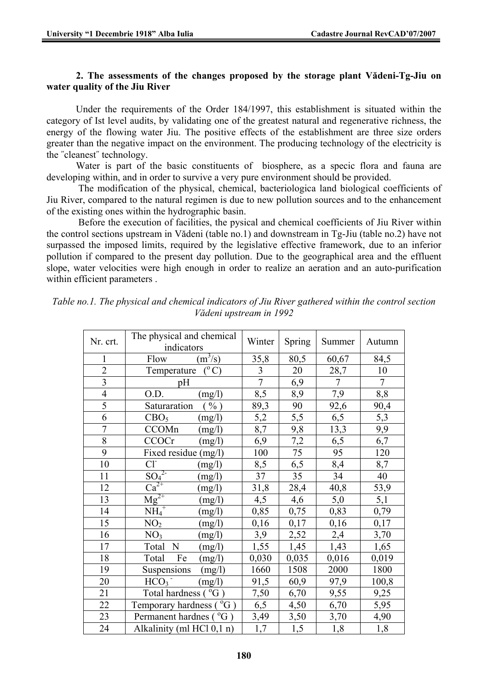#### **2. The assessments of the changes proposed by the storage plant Vădeni-Tg-Jiu on water quality of the Jiu River**

Under the requirements of the Order 184/1997, this establishment is situated within the category of Ist level audits, by validating one of the greatest natural and regenerative richness, the energy of the flowing water Jiu. The positive effects of the establishment are three size orders greater than the negative impact on the environment. The producing technology of the electricity is the ˝cleanest˝ technology.

Water is part of the basic constituents of biosphere, as a specic flora and fauna are developing within, and in order to survive a very pure environment should be provided.

 The modification of the physical, chemical, bacteriologica land biological coefficients of Jiu River, compared to the natural regimen is due to new pollution sources and to the enhancement of the existing ones within the hydrographic basin.

 Before the execution of facilities, the pysical and chemical coefficients of Jiu River within the control sections upstream in Vădeni (table no.1) and downstream in Tg-Jiu (table no.2) have not surpassed the imposed limits, required by the legislative effective framework, due to an inferior pollution if compared to the present day pollution. Due to the geographical area and the effluent slope, water velocities were high enough in order to realize an aeration and an auto-purification within efficient parameters .

| Nr. crt.                | The physical and chemical<br>indicators  | Winter         | <b>Spring</b>   | Summer          | Autumn         |
|-------------------------|------------------------------------------|----------------|-----------------|-----------------|----------------|
| $\mathbf{1}$            | $(m^3/s)$<br>Flow                        | 35,8           | 80,5            | 60,67           | 84,5           |
| $\overline{2}$          | $(^{\circ}C)$<br>Temperature             | $\overline{3}$ | 20              | 28,7            | 10             |
| $\overline{\mathbf{3}}$ | pH                                       | $\overline{7}$ | 6,9             | $\overline{7}$  | $\overline{7}$ |
| $\overline{4}$          | O.D.<br>(mg/l)                           | 8,5            | 8,9             | 7,9             | 8,8            |
| $\overline{5}$          | Saturaration<br>$\%$ )                   | 89,3           | 90              | 92,6            | 90,4           |
| 6                       | (mg/l)<br>CBO <sub>5</sub>               | 5,2            | 5,5             | 6,5             | 5,3            |
| $\overline{7}$          | CCOMn<br>(mg/l)                          | 8,7            | 9,8             | 13,3            | 9,9            |
| $\overline{8}$          | CCOCr<br>(mg/l)                          | 6,9            | 7,2             | 6,5             | 6,7            |
| 9                       | Fixed residue (mg/l)                     | 100            | $\overline{75}$ | $\overline{95}$ | 120            |
| 10                      | $Cl-$<br>(mg/l)                          | 8,5            | 6,5             | 8,4             | 8,7            |
| 11                      | $\overline{{\rm SO}_4{}^{2-}}$<br>(mg/l) | 37             | 35              | 34              | 40             |
| 12                      | $\overline{\text{Ca}^{2+}}$<br>(mg/l)    | 31,8           | 28,4            | 40,8            | 53,9           |
| 13                      | $Mg^{2+}$<br>(mg/l)                      | 4,5            | 4,6             | 5,0             | 5,1            |
| 14                      | $\overline{\text{NH}_4}^+$<br>(mg/l)     | 0,85           | 0,75            | 0,83            | 0,79           |
| 15                      | NO <sub>2</sub><br>(mg/l)                | 0,16           | 0,17            | 0,16            | 0,17           |
| 16                      | NO <sub>3</sub><br>(mg/l)                | 3,9            | 2,52            | 2,4             | 3,70           |
| 17                      | N<br>Total<br>(mg/l)                     | 1,55           | 1,45            | 1,43            | 1,65           |
| 18                      | Total<br>Fe<br>(mg/l)                    | 0,030          | 0,035           | 0,016           | 0,019          |
| 19                      | Suspensions<br>(mg/l)                    | 1660           | 1508            | 2000            | 1800           |
| 20                      | HCO <sub>3</sub><br>(mg/l)               | 91,5           | 60,9            | 97,9            | 100,8          |
| 21                      | Total hardness (°G)                      | 7,50           | 6,70            | 9,55            | 9,25           |
| 22                      | Temporary hardness ( $^{0}G$ )           | 6,5            | 4,50            | 6,70            | 5,95           |
| 23                      | Permanent hardnes (°G)                   | 3,49           | 3,50            | 3,70            | 4,90           |
| 24                      | Alkalinity (ml HCl 0,1 n)                | 1,7            | 1,5             | 1,8             | 1,8            |

*Table no.1. The physical and chemical indicators of Jiu River gathered within the control section Vădeni upstream in 1992*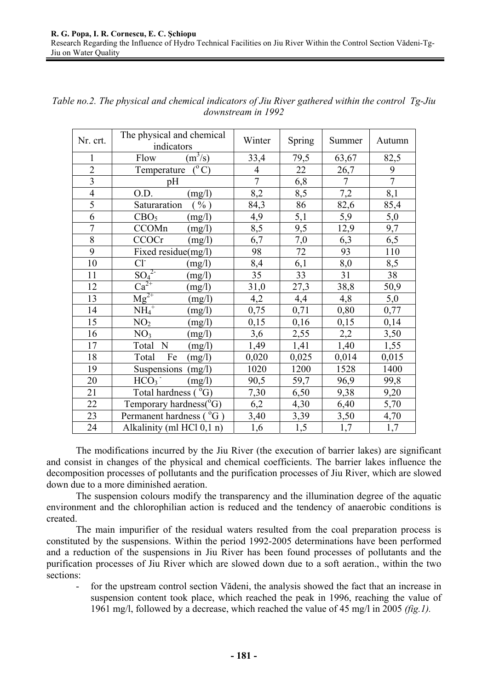| Nr. crt.                | The physical and chemical<br>indicators | Winter         | <b>Spring</b> | Summer         | Autumn         |
|-------------------------|-----------------------------------------|----------------|---------------|----------------|----------------|
| $\mathbf{1}$            | $(m^3/s)$<br>Flow                       | 33,4           | 79,5          | 63,67          | 82,5           |
| $\overline{2}$          | $(^\circ$ C)<br>Temperature             | $\overline{4}$ | 22            | 26,7           | 9              |
| $\overline{\mathbf{3}}$ | pH                                      | $\overline{7}$ | 6,8           | $\overline{7}$ | $\overline{7}$ |
| $\overline{4}$          | O.D.<br>(mg/l)                          | 8,2            | 8,5           | 7,2            | 8,1            |
| $\overline{5}$          | Saturaration<br>$\%$ )                  | 84,3           | 86            | 82,6           | 85,4           |
| 6                       | CBO <sub>5</sub><br>(mg/l)              | 4,9            | 5,1           | 5,9            | 5,0            |
| $\overline{7}$          | CCOMn<br>(mg/l)                         | 8,5            | 9,5           | 12,9           | 9,7            |
| 8                       | <b>CCOCr</b><br>(mg/l)                  | 6,7            | 7,0           | 6,3            | 6,5            |
| 9                       | Fixed residue(mg/l)                     | 98             | 72            | 93             | 110            |
| 10                      | $Cl-$<br>(mg/l)                         | 8,4            | 6,1           | 8,0            | 8,5            |
| 11                      | SO <sub>4</sub> <sup>2</sup><br>(mg/l)  | 35             | 33            | 31             | 38             |
| 12                      | $Ca^{2+}$<br>(mg/l)                     | 31,0           | 27,3          | 38,8           | 50,9           |
| 13                      | $Mg^{2+}$<br>(mg/l)                     | 4,2            | 4,4           | 4,8            | 5,0            |
| 14                      | $\overline{\text{NH}_4}^+$<br>(mg/l)    | 0,75           | 0,71          | 0,80           | 0,77           |
| 15                      | NO <sub>2</sub><br>(mg/l)               | 0,15           | 0,16          | 0,15           | 0,14           |
| 16                      | NO <sub>3</sub><br>(mg/l)               | 3,6            | 2,55          | 2,2            | 3,50           |
| 17                      | N<br>Total<br>(mg/l)                    | 1,49           | 1,41          | 1,40           | 1,55           |
| 18                      | Total<br>Fe<br>(mg/l)                   | 0,020          | 0,025         | 0,014          | 0,015          |
| 19                      | Suspensions<br>(mg/l)                   | 1020           | 1200          | 1528           | 1400           |
| 20                      | HCO <sub>3</sub><br>(mg/l)              | 90,5           | 59,7          | 96,9           | 99,8           |
| 21                      | Total hardness $(^{\circ}G)$            | 7,30           | 6,50          | 9,38           | 9,20           |
| 22                      | Temporary hardness(°G)                  | 6,2            | 4,30          | 6,40           | 5,70           |
| 23                      | Permanent hardness (°G)                 | 3,40           | 3,39          | 3,50           | 4,70           |
| 24                      | Alkalinity (ml HCl 0,1 n)               | 1,6            | 1,5           | 1,7            | 1,7            |

*Table no.2. The physical and chemical indicators of Jiu River gathered within the control Tg-Jiu downstream in 1992* 

The modifications incurred by the Jiu River (the execution of barrier lakes) are significant and consist in changes of the physical and chemical coefficients. The barrier lakes influence the decomposition processes of pollutants and the purification processes of Jiu River, which are slowed down due to a more diminished aeration.

The suspension colours modify the transparency and the illumination degree of the aquatic environment and the chlorophilian action is reduced and the tendency of anaerobic conditions is created.

The main impurifier of the residual waters resulted from the coal preparation process is constituted by the suspensions. Within the period 1992-2005 determinations have been performed and a reduction of the suspensions in Jiu River has been found processes of pollutants and the purification processes of Jiu River which are slowed down due to a soft aeration., within the two sections:

for the upstream control section Vădeni, the analysis showed the fact that an increase in suspension content took place, which reached the peak in 1996, reaching the value of 1961 mg/l, followed by a decrease, which reached the value of 45 mg/l in 2005 *(fig.1).*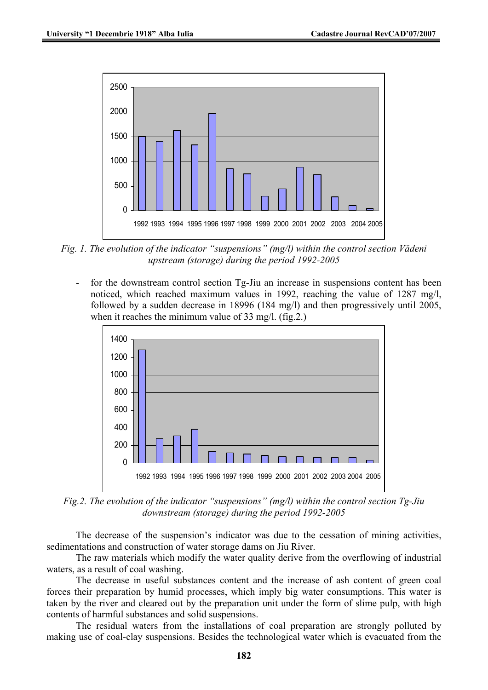

*Fig. 1. The evolution of the indicator "suspensions" (mg/l) within the control section Vădeni upstream (storage) during the period 1992-2005* 

for the downstream control section Tg-Jiu an increase in suspensions content has been noticed, which reached maximum values in 1992, reaching the value of 1287 mg/l, followed by a sudden decrease in 18996 (184 mg/l) and then progressively until 2005, when it reaches the minimum value of 33 mg/l. (fig.2.)



*Fig.2. The evolution of the indicator "suspensions" (mg/l) within the control section Tg-Jiu downstream (storage) during the period 1992-2005* 

The decrease of the suspension's indicator was due to the cessation of mining activities, sedimentations and construction of water storage dams on Jiu River.

The raw materials which modify the water quality derive from the overflowing of industrial waters, as a result of coal washing.

The decrease in useful substances content and the increase of ash content of green coal forces their preparation by humid processes, which imply big water consumptions. This water is taken by the river and cleared out by the preparation unit under the form of slime pulp, with high contents of harmful substances and solid suspensions.

The residual waters from the installations of coal preparation are strongly polluted by making use of coal-clay suspensions. Besides the technological water which is evacuated from the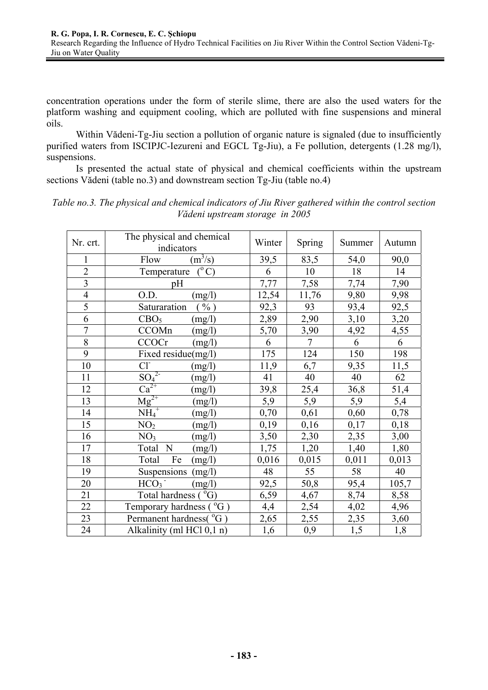concentration operations under the form of sterile slime, there are also the used waters for the platform washing and equipment cooling, which are polluted with fine suspensions and mineral oils.

Within Vădeni-Tg-Jiu section a pollution of organic nature is signaled (due to insufficiently purified waters from ISCIPJC-Iezureni and EGCL Tg-Jiu), a Fe pollution, detergents (1.28 mg/l), suspensions.

Is presented the actual state of physical and chemical coefficients within the upstream sections Vădeni (table no.3) and downstream section Tg-Jiu (table no.4)

| Nr. crt.       | The physical and chemical<br>indicators | Winter | <b>Spring</b>  | Summer | Autumn |
|----------------|-----------------------------------------|--------|----------------|--------|--------|
| 1              | $(m^3/s)$<br>Flow                       | 39,5   | 83,5           | 54,0   | 90,0   |
| $\overline{2}$ | $(^{\circ}C)$<br>Temperature            | 6      | 10             | 18     | 14     |
| $\frac{3}{4}$  | pH                                      | 7,77   | 7,58           | 7,74   | 7,90   |
|                | O.D.<br>(mg/l)                          | 12,54  | 11,76          | 9,80   | 9,98   |
| $\overline{5}$ | Saturaration<br>$\%$ )                  | 92,3   | 93             | 93,4   | 92,5   |
| $\overline{6}$ | CBO <sub>5</sub><br>(mg/l)              | 2,89   | 2,90           | 3,10   | 3,20   |
| $\overline{7}$ | CCOMn<br>(mg/l)                         | 5,70   | 3,90           | 4,92   | 4,55   |
| $\overline{8}$ | <b>CCOCr</b><br>(mg/l)                  | 6      | $\overline{7}$ | 6      | 6      |
| 9              | Fixed residue(mg/l)                     | 175    | 124            | 150    | 198    |
| 10             | $Cl^{-}$<br>(mg/l)                      | 11,9   | 6,7            | 9,35   | 11,5   |
| 11             | $\frac{SO_4^{2-}}{Ca^{2+}}$<br>(mg/l)   | 41     | 40             | 40     | 62     |
| 12             | (mg/l)                                  | 39,8   | 25,4           | 36,8   | 51,4   |
| 13             | $Mg^{2+}$<br>(mg/l)                     | 5,9    | 5,9            | 5,9    | 5,4    |
| 14             | $\overline{\text{NH}_4}^+$<br>(mg/l)    | 0,70   | 0,61           | 0,60   | 0,78   |
| 15             | NO <sub>2</sub><br>(mg/l)               | 0,19   | 0,16           | 0,17   | 0,18   |
| 16             | NO <sub>3</sub><br>(mg/l)               | 3,50   | 2,30           | 2,35   | 3,00   |
| 17             | ${\bf N}$<br>Total<br>(mg/l)            | 1,75   | 1,20           | 1,40   | 1,80   |
| 18             | Total<br>Fe<br>(mg/l)                   | 0,016  | 0,015          | 0,011  | 0,013  |
| 19             | (mg/l)<br>Suspensions                   | 48     | 55             | 58     | 40     |
| 20             | HCO <sub>3</sub><br>(mg/l)              | 92,5   | 50,8           | 95,4   | 105,7  |
| 21             | Total hardness (°G)                     | 6,59   | 4,67           | 8,74   | 8,58   |
| 22             | Temporary hardness ( $\rm{^0G}$ )       | 4,4    | 2,54           | 4,02   | 4,96   |
| 23             | Permanent hardness( <sup>°</sup> G)     | 2,65   | 2,55           | 2,35   | 3,60   |
| 24             | Alkalinity (ml HCl 0,1 n)               | 1,6    | 0,9            | 1,5    | 1,8    |

*Table no.3. The physical and chemical indicators of Jiu River gathered within the control section Vădeni upstream storage in 2005*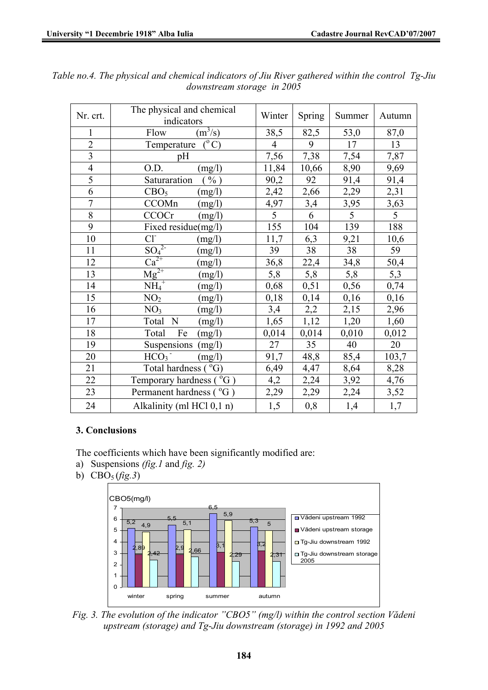| Nr. crt.                | The physical and chemical<br>indicators   | Winter         | Spring          | Summer | Autumn |
|-------------------------|-------------------------------------------|----------------|-----------------|--------|--------|
| 1                       | $(m^3/s)$<br>Flow                         | 38,5           | 82,5            | 53,0   | 87,0   |
| $\overline{2}$          | $\overline{({}^{\circ}C)}$<br>Temperature | $\overline{4}$ | 9               | 17     | 13     |
| $\overline{\mathbf{3}}$ | pH                                        | 7,56           | 7,38            | 7,54   | 7,87   |
| $\overline{4}$          | O.D.<br>(mg/l)                            | 11,84          | 10,66           | 8,90   | 9,69   |
| $\overline{5}$          | Saturaration<br>$\%$ )                    | 90,2           | 92              | 91,4   | 91,4   |
| 6                       | CBO <sub>5</sub><br>(mg/l)                | 2,42           | 2,66            | 2,29   | 2,31   |
| $\overline{7}$          | CCOMn<br>(mg/l)                           | 4,97           | 3,4             | 3,95   | 3,63   |
| $\overline{8}$          | <b>CCOCr</b><br>(mg/l)                    | $\overline{5}$ | 6               | 5      | 5      |
| $\overline{9}$          | Fixed residue(mg/l)                       | 155            | 104             | 139    | 188    |
| 10                      | $Cl^{\dagger}$<br>(mg/l)                  | 11,7           | 6,3             | 9,21   | 10,6   |
| 11                      | $\overline{{SO_4}^2}$<br>(mg/l)           | 39             | $\overline{38}$ | 38     | 59     |
| 12                      | $Ca^{2+}$<br>(mg/l)                       | 36,8           | 22,4            | 34,8   | 50,4   |
| 13                      | $Mg^{2+}$<br>(mg/l)                       | 5,8            | 5,8             | 5,8    | 5,3    |
| 14                      | $\overline{\text{NH}_4}^+$<br>(mg/l)      | 0,68           | 0,51            | 0,56   | 0,74   |
| 15                      | NO <sub>2</sub><br>(mg/l)                 | 0,18           | 0,14            | 0,16   | 0,16   |
| 16                      | NO <sub>3</sub><br>(mg/l)                 | 3,4            | 2,2             | 2,15   | 2,96   |
| 17                      | Total<br>N<br>(mg/l)                      | 1,65           | 1,12            | 1,20   | 1,60   |
| 18                      | Fe<br>Total<br>(mg/l)                     | 0,014          | 0,014           | 0,010  | 0,012  |
| 19                      | Suspensions<br>(mg/l)                     | 27             | 35              | 40     | 20     |
| 20                      | HCO <sub>3</sub><br>(mg/l)                | 91,7           | 48,8            | 85,4   | 103,7  |
| 21                      | Total hardness $(^{\circ}G)$              | 6,49           | 4,47            | 8,64   | 8,28   |
| 22                      | $^{0}G$ )<br>Temporary hardness (         | 4,2            | 2,24            | 3,92   | 4,76   |
| 23                      | Permanent hardness (°G)                   | 2,29           | 2,29            | 2,24   | 3,52   |
| 24                      | Alkalinity (ml HCl 0,1 n)                 | 1,5            | 0,8             | 1,4    | 1,7    |

*Table no.4. The physical and chemical indicators of Jiu River gathered within the control Tg-Jiu downstream storage in 2005* 

## **3. Conclusions**

The coefficients which have been significantly modified are:

- a) Suspensions *(fig.1* and *fig. 2)*
- b)  $CBO<sub>5</sub>(fig.3)$



*Fig. 3. The evolution of the indicator "CBO5" (mg/l) within the control section Vădeni upstream (storage) and Tg-Jiu downstream (storage) in 1992 and 2005*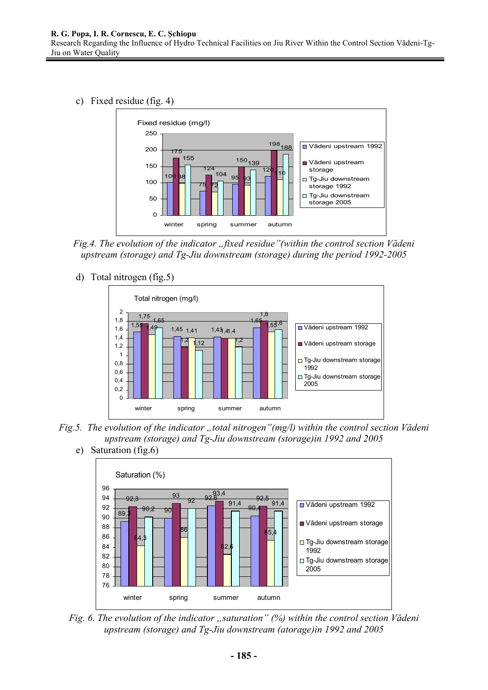c) Fixed residue (fig. 4)



*Fig.4. The evolution of the indicator "fixed residue"(within the control section Vădeni upstream (storage) and Tg-Jiu downstream (storage) during the period 1992-2005* 

d) Total nitrogen (fig.5)



*Fig.5. The evolution of the indicator "total nitrogen"(mg/l) within the control section Vădeni upstream (storage) and Tg-Jiu downstream (storage)in 1992 and 2005* 

e) Saturation (fig.6)



*Fig. 6. The evolution of the indicator "saturation" (%) within the control section Vădeni upstream (storage) and Tg-Jiu downstream (atorage)in 1992 and 2005*